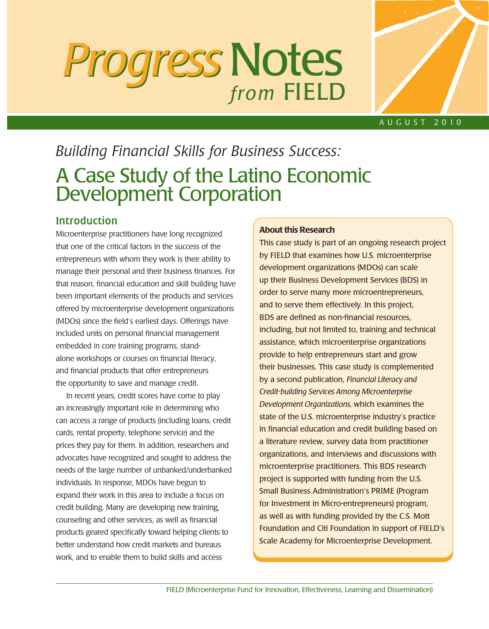# *Progress Progress* Notes *from* FIELD



### A u g u s t 2 0 1 0

# *Building Financial Skills for Business Success:* A Case Study of the Latino Economic Development Corporation

# **Introduction**

Microenterprise practitioners have long recognized that one of the critical factors in the success of the entrepreneurs with whom they work is their ability to manage their personal and their business finances. For that reason, financial education and skill building have been important elements of the products and services offered by microenterprise development organizations (MDOs) since the field's earliest days. Offerings have included units on personal financial management embedded in core training programs, standalone workshops or courses on financial literacy, and financial products that offer entrepreneurs the opportunity to save and manage credit.

In recent years, credit scores have come to play an increasingly important role in determining who can access a range of products (including loans, credit cards, rental property, telephone service) and the prices they pay for them. In addition, researchers and advocates have recognized and sought to address the needs of the large number of unbanked/underbanked individuals. In response, MDOs have begun to expand their work in this area to include a focus on credit building. Many are developing new training, counseling and other services, as well as financial products geared specifically toward helping clients to better understand how credit markets and bureaus work, and to enable them to build skills and access

#### About this Research

This case study is part of an ongoing research project by FIELD that examines how U.S. microenterprise development organizations (MDOs) can scale up their Business Development Services (BDS) in order to serve many more microentrepreneurs, and to serve them effectively. In this project, BDS are defined as non-financial resources, including, but not limited to, training and technical assistance, which microenterprise organizations provide to help entrepreneurs start and grow their businesses. This case study is complemented by a second publication, *Financial Literacy and Credit-building Services Among Microenterprise Development Organizations,* which examines the state of the U.S. microenterprise industry's practice in financial education and credit building based on a literature review, survey data from practitioner organizations, and interviews and discussions with microenterprise practitioners. This BDS research project is supported with funding from the U.S. Small Business Administration's PRIME (Program for Investment in Micro-entrepreneurs) program, as well as with funding provided by the C.S. Mott Foundation and Citi Foundation in support of FIELD's Scale Academy for Microenterprise Development.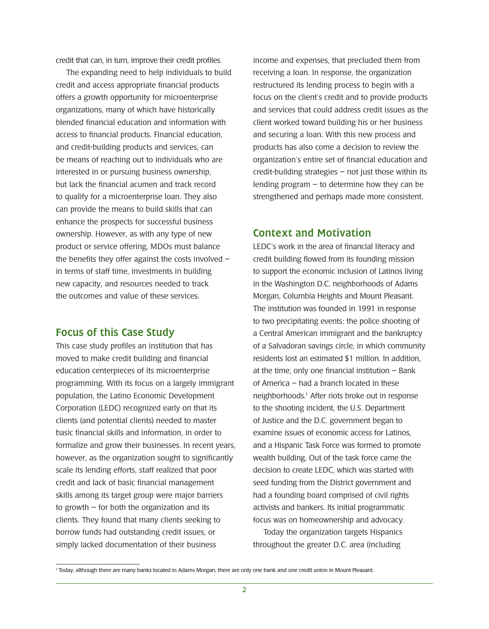credit that can, in turn, improve their credit profiles.

The expanding need to help individuals to build credit and access appropriate financial products offers a growth opportunity for microenterprise organizations, many of which have historically blended financial education and information with access to financial products. Financial education, and credit-building products and services, can be means of reaching out to individuals who are interested in or pursuing business ownership, but lack the financial acumen and track record to qualify for a microenterprise loan. They also can provide the means to build skills that can enhance the prospects for successful business ownership. However, as with any type of new product or service offering, MDOs must balance the benefits they offer against the costs involved – in terms of staff time, investments in building new capacity, and resources needed to track the outcomes and value of these services.

# Focus of this Case Study

This case study profiles an institution that has moved to make credit building and financial education centerpieces of its microenterprise programming. With its focus on a largely immigrant population, the Latino Economic Development Corporation (LEDC) recognized early on that its clients (and potential clients) needed to master basic financial skills and information, in order to formalize and grow their businesses. In recent years, however, as the organization sought to significantly scale its lending efforts, staff realized that poor credit and lack of basic financial management skills among its target group were major barriers to growth  $-$  for both the organization and its clients. They found that many clients seeking to borrow funds had outstanding credit issues, or simply lacked documentation of their business

income and expenses, that precluded them from receiving a loan. In response, the organization restructured its lending process to begin with a focus on the client's credit and to provide products and services that could address credit issues as the client worked toward building his or her business and securing a loan. With this new process and products has also come a decision to review the organization's entire set of financial education and credit-building strategies – not just those within its lending program – to determine how they can be strengthened and perhaps made more consistent.

# Context and Motivation

LEDC's work in the area of financial literacy and credit building flowed from its founding mission to support the economic inclusion of Latinos living in the Washington D.C. neighborhoods of Adams Morgan, Columbia Heights and Mount Pleasant. The institution was founded in 1991 in response to two precipitating events: the police shooting of a Central American immigrant and the bankruptcy of a Salvadoran savings circle, in which community residents lost an estimated \$1 million. In addition, at the time, only one financial institution  $-$  Bank of America – had a branch located in these neighborhoods.1 After riots broke out in response to the shooting incident, the U.S. Department of Justice and the D.C. government began to examine issues of economic access for Latinos, and a Hispanic Task Force was formed to promote wealth building. Out of the task force came the decision to create LEDC, which was started with seed funding from the District government and had a founding board comprised of civil rights activists and bankers. Its initial programmatic focus was on homeownership and advocacy.

Today the organization targets Hispanics throughout the greater D.C. area (including

<sup>1</sup> Today, although there are many banks located in Adams Morgan, there are only one bank and one credit union in Mount Pleasant.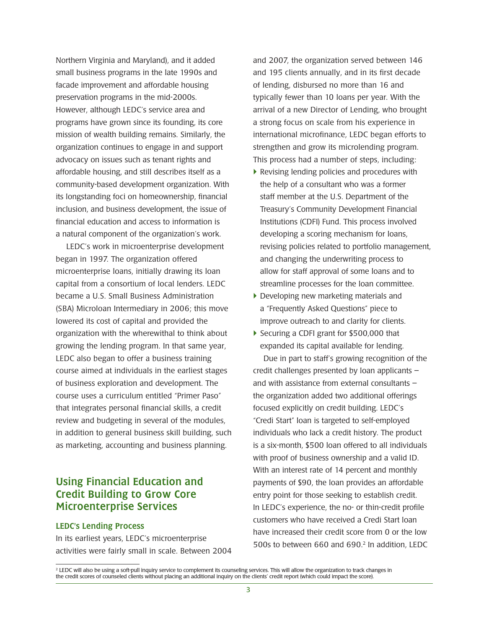Northern Virginia and Maryland), and it added small business programs in the late 1990s and facade improvement and affordable housing preservation programs in the mid-2000s. However, although LEDC's service area and programs have grown since its founding, its core mission of wealth building remains. Similarly, the organization continues to engage in and support advocacy on issues such as tenant rights and affordable housing, and still describes itself as a community-based development organization. With its longstanding foci on homeownership, financial inclusion, and business development, the issue of financial education and access to information is a natural component of the organization's work.

LEDC's work in microenterprise development began in 1997. The organization offered microenterprise loans, initially drawing its loan capital from a consortium of local lenders. LEDC became a U.S. Small Business Administration (SBA) Microloan Intermediary in 2006; this move lowered its cost of capital and provided the organization with the wherewithal to think about growing the lending program. In that same year, LEDC also began to offer a business training course aimed at individuals in the earliest stages of business exploration and development. The course uses a curriculum entitled "Primer Paso" that integrates personal financial skills, a credit review and budgeting in several of the modules, in addition to general business skill building, such as marketing, accounting and business planning.

# Using Financial Education and Credit Building to Grow Core Microenterprise Services

#### LEDC's Lending Process

In its earliest years, LEDC's microenterprise activities were fairly small in scale. Between 2004 and 2007, the organization served between 146 and 195 clients annually, and in its first decade of lending, disbursed no more than 16 and typically fewer than 10 loans per year. With the arrival of a new Director of Lending, who brought a strong focus on scale from his experience in international microfinance, LEDC began efforts to strengthen and grow its microlending program. This process had a number of steps, including:

- } Revising lending policies and procedures with the help of a consultant who was a former staff member at the U.S. Department of the Treasury's Community Development Financial Institutions (CDFI) Fund. This process involved developing a scoring mechanism for loans, revising policies related to portfolio management, and changing the underwriting process to allow for staff approval of some loans and to streamline processes for the loan committee.
- } Developing new marketing materials and a "Frequently Asked Questions" piece to improve outreach to and clarity for clients.
- } Securing a CDFI grant for \$500,000 that expanded its capital available for lending.

Due in part to staff's growing recognition of the credit challenges presented by loan applicants – and with assistance from external consultants – the organization added two additional offerings focused explicitly on credit building. LEDC's "Credi Start" loan is targeted to self-employed individuals who lack a credit history. The product is a six-month, \$500 loan offered to all individuals with proof of business ownership and a valid ID. With an interest rate of 14 percent and monthly payments of \$90, the loan provides an affordable entry point for those seeking to establish credit. In LEDC's experience, the no- or thin-credit profile customers who have received a Credi Start loan have increased their credit score from 0 or the low 500s to between 660 and 690.2 In addition, LEDC

<sup>&</sup>lt;sup>2</sup> LEDC will also be using a soft-pull inquiry service to complement its counseling services. This will allow the organization to track changes in the credit scores of counseled clients without placing an additional inquiry on the clients' credit report (which could impact the score).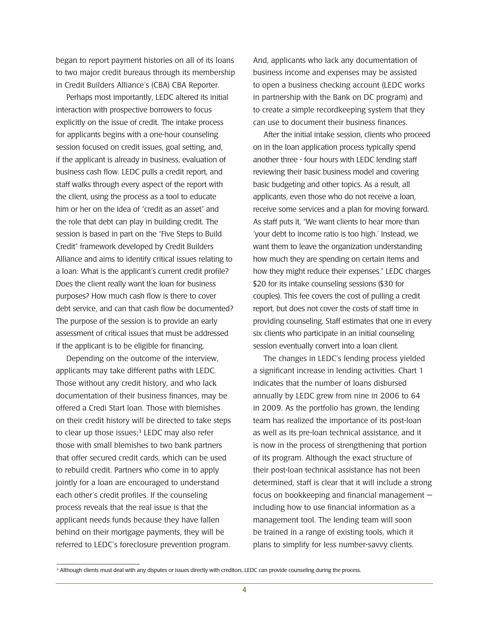began to report payment histories on all of its loans to two major credit bureaus through its membership in Credit Builders Alliance's (CBA) CBA Reporter.

Perhaps most importantly, LEDC altered its initial interaction with prospective borrowers to focus explicitly on the issue of credit. The intake process for applicants begins with a one-hour counseling session focused on credit issues, goal setting, and, if the applicant is already in business, evaluation of business cash flow. LEDC pulls a credit report, and staff walks through every aspect of the report with the client, using the process as a tool to educate him or her on the idea of "credit as an asset" and the role that debt can play in building credit. The session is based in part on the "Five Steps to Build Credit" framework developed by Credit Builders Alliance and aims to identify critical issues relating to a loan: What is the applicant's current credit profile? Does the client really want the loan for business purposes? How much cash flow is there to cover debt service, and can that cash flow be documented? The purpose of the session is to provide an early assessment of critical issues that must be addressed if the applicant is to be eligible for financing.

Depending on the outcome of the interview, applicants may take different paths with LEDC. Those without any credit history, and who lack documentation of their business finances, may be offered a Credi Start loan. Those with blemishes on their credit history will be directed to take steps to clear up those issues;<sup>3</sup> LEDC may also refer those with small blemishes to two bank partners that offer secured credit cards, which can be used to rebuild credit. Partners who come in to apply jointly for a loan are encouraged to understand each other's credit profiles. If the counseling process reveals that the real issue is that the applicant needs funds because they have fallen behind on their mortgage payments, they will be referred to LEDC's foreclosure prevention program.

And, applicants who lack any documentation of business income and expenses may be assisted to open a business checking account (LEDC works in partnership with the Bank on DC program) and to create a simple recordkeeping system that they can use to document their business finances.

After the initial intake session, clients who proceed on in the loan application process typically spend another three - four hours with LEDC lending staff reviewing their basic business model and covering basic budgeting and other topics. As a result, all applicants, even those who do not receive a loan, receive some services and a plan for moving forward. As staff puts it, "We want clients to hear more than 'your debt to income ratio is too high.' Instead, we want them to leave the organization understanding how much they are spending on certain items and how they might reduce their expenses." LEDC charges \$20 for its intake counseling sessions (\$30 for couples). This fee covers the cost of pulling a credit report, but does not cover the costs of staff time in providing counseling. Staff estimates that one in every six clients who participate in an initial counseling session eventually convert into a loan client.

The changes in LEDC's lending process yielded a significant increase in lending activities. Chart 1 indicates that the number of loans disbursed annually by LEDC grew from nine in 2006 to 64 in 2009. As the portfolio has grown, the lending team has realized the importance of its post-loan as well as its pre-loan technical assistance, and it is now in the process of strengthening that portion of its program. Although the exact structure of their post-loan technical assistance has not been determined, staff is clear that it will include a strong focus on bookkeeping and financial management including how to use financial information as a management tool. The lending team will soon be trained in a range of existing tools, which it plans to simplify for less number-savvy clients.

<sup>&</sup>lt;sup>3</sup> Although clients must deal with any disputes or issues directly with creditors, LEDC can provide counseling during the process.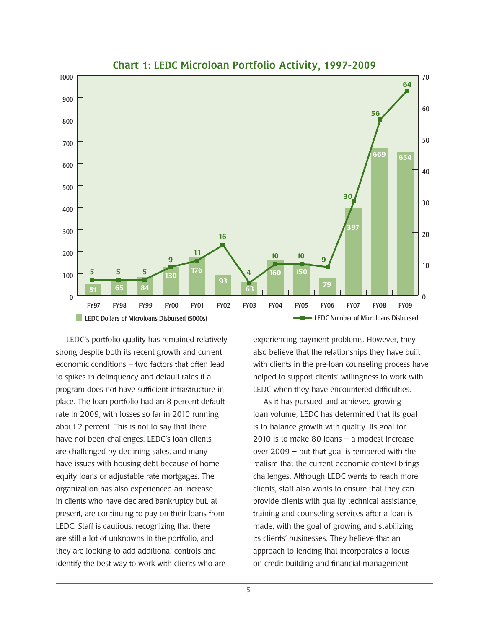

LEDC's portfolio quality has remained relatively strong despite both its recent growth and current economic conditions – two factors that often lead to spikes in delinquency and default rates if a program does not have sufficient infrastructure in place. The loan portfolio had an 8 percent default rate in 2009, with losses so far in 2010 running about 2 percent. This is not to say that there have not been challenges. LEDC's loan clients are challenged by declining sales, and many have issues with housing debt because of home equity loans or adjustable rate mortgages. The organization has also experienced an increase in clients who have declared bankruptcy but, at present, are continuing to pay on their loans from LEDC. Staff is cautious, recognizing that there are still a lot of unknowns in the portfolio, and they are looking to add additional controls and identify the best way to work with clients who are

experiencing payment problems. However, they also believe that the relationships they have built with clients in the pre-loan counseling process have helped to support clients' willingness to work with LEDC when they have encountered difficulties.

As it has pursued and achieved growing loan volume, LEDC has determined that its goal is to balance growth with quality. Its goal for 2010 is to make 80 loans – a modest increase over 2009 – but that goal is tempered with the realism that the current economic context brings challenges. Although LEDC wants to reach more clients, staff also wants to ensure that they can provide clients with quality technical assistance, training and counseling services after a loan is made, with the goal of growing and stabilizing its clients' businesses. They believe that an approach to lending that incorporates a focus on credit building and financial management,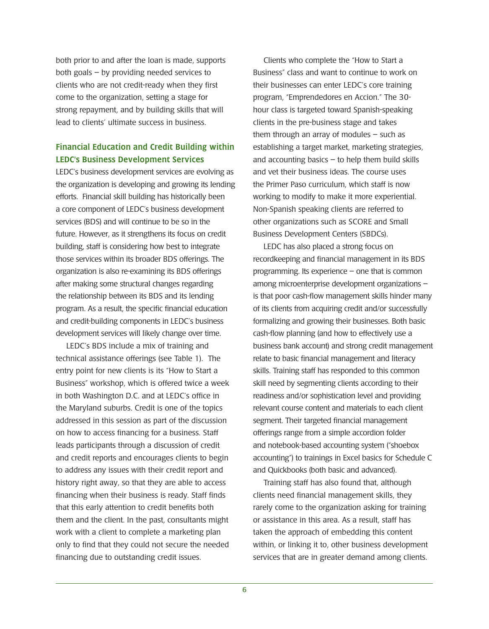both prior to and after the loan is made, supports both goals – by providing needed services to clients who are not credit-ready when they first come to the organization, setting a stage for strong repayment, and by building skills that will lead to clients' ultimate success in business.

# Financial Education and Credit Building within LEDC's Business Development Services

LEDC's business development services are evolving as the organization is developing and growing its lending efforts. Financial skill building has historically been a core component of LEDC's business development services (BDS) and will continue to be so in the future. However, as it strengthens its focus on credit building, staff is considering how best to integrate those services within its broader BDS offerings. The organization is also re-examining its BDS offerings after making some structural changes regarding the relationship between its BDS and its lending program. As a result, the specific financial education and credit-building components in LEDC's business development services will likely change over time.

LEDC's BDS include a mix of training and technical assistance offerings (see Table 1). The entry point for new clients is its "How to Start a Business" workshop, which is offered twice a week in both Washington D.C. and at LEDC's office in the Maryland suburbs. Credit is one of the topics addressed in this session as part of the discussion on how to access financing for a business. Staff leads participants through a discussion of credit and credit reports and encourages clients to begin to address any issues with their credit report and history right away, so that they are able to access financing when their business is ready. Staff finds that this early attention to credit benefits both them and the client. In the past, consultants might work with a client to complete a marketing plan only to find that they could not secure the needed financing due to outstanding credit issues.

Clients who complete the "How to Start a Business" class and want to continue to work on their businesses can enter LEDC's core training program, "Emprendedores en Accion." The 30 hour class is targeted toward Spanish-speaking clients in the pre-business stage and takes them through an array of modules  $-$  such as establishing a target market, marketing strategies, and accounting basics  $-$  to help them build skills and vet their business ideas. The course uses the Primer Paso curriculum, which staff is now working to modify to make it more experiential. Non-Spanish speaking clients are referred to other organizations such as SCORE and Small Business Development Centers (SBDCs).

LEDC has also placed a strong focus on recordkeeping and financial management in its BDS programming. Its experience – one that is common among microenterprise development organizations – is that poor cash-flow management skills hinder many of its clients from acquiring credit and/or successfully formalizing and growing their businesses. Both basic cash-flow planning (and how to effectively use a business bank account) and strong credit management relate to basic financial management and literacy skills. Training staff has responded to this common skill need by segmenting clients according to their readiness and/or sophistication level and providing relevant course content and materials to each client segment. Their targeted financial management offerings range from a simple accordion folder and notebook-based accounting system ("shoebox accounting") to trainings in Excel basics for Schedule C and Quickbooks (both basic and advanced).

Training staff has also found that, although clients need financial management skills, they rarely come to the organization asking for training or assistance in this area. As a result, staff has taken the approach of embedding this content within, or linking it to, other business development services that are in greater demand among clients.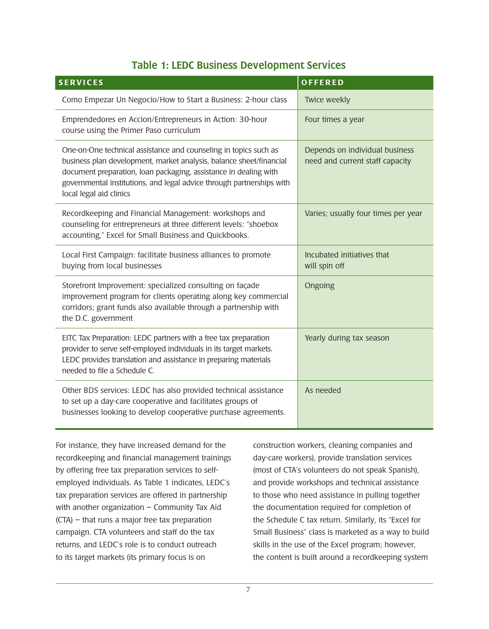# Table 1: LEDC Business Development Services

| <b>SERVICES</b>                                                                                                                                                                                                                                                                                                 | OFFERED                                                           |
|-----------------------------------------------------------------------------------------------------------------------------------------------------------------------------------------------------------------------------------------------------------------------------------------------------------------|-------------------------------------------------------------------|
| Como Empezar Un Negocio/How to Start a Business: 2-hour class                                                                                                                                                                                                                                                   | Twice weekly                                                      |
| Emprendedores en Accion/Entrepreneurs in Action: 30-hour<br>course using the Primer Paso curriculum                                                                                                                                                                                                             | Four times a year                                                 |
| One-on-One technical assistance and counseling in topics such as<br>business plan development, market analysis, balance sheet/financial<br>document preparation, Ioan packaging, assistance in dealing with<br>governmental institutions, and legal advice through partnerships with<br>local legal aid clinics | Depends on individual business<br>need and current staff capacity |
| Recordkeeping and Financial Management: workshops and<br>counseling for entrepreneurs at three different levels: "shoebox<br>accounting," Excel for Small Business and Quickbooks.                                                                                                                              | Varies; usually four times per year                               |
| Local First Campaign: facilitate business alliances to promote<br>buying from local businesses                                                                                                                                                                                                                  | Incubated initiatives that<br>will spin off                       |
| Storefront Improvement: specialized consulting on façade<br>improvement program for clients operating along key commercial<br>corridors; grant funds also available through a partnership with<br>the D.C. government                                                                                           | Ongoing                                                           |
| EITC Tax Preparation: LEDC partners with a free tax preparation<br>provider to serve self-employed individuals in its target markets.<br>LEDC provides translation and assistance in preparing materials<br>needed to file a Schedule C.                                                                        | Yearly during tax season                                          |
| Other BDS services: LEDC has also provided technical assistance<br>to set up a day-care cooperative and facilitates groups of<br>businesses looking to develop cooperative purchase agreements.                                                                                                                 | As needed                                                         |

For instance, they have increased demand for the recordkeeping and financial management trainings by offering free tax preparation services to selfemployed individuals. As Table 1 indicates, LEDC's tax preparation services are offered in partnership with another organization – Community Tax Aid (CTA) – that runs a major free tax preparation campaign. CTA volunteers and staff do the tax returns, and LEDC's role is to conduct outreach to its target markets (its primary focus is on

construction workers, cleaning companies and day-care workers), provide translation services (most of CTA's volunteers do not speak Spanish), and provide workshops and technical assistance to those who need assistance in pulling together the documentation required for completion of the Schedule C tax return. Similarly, its "Excel for Small Business" class is marketed as a way to build skills in the use of the Excel program; however, the content is built around a recordkeeping system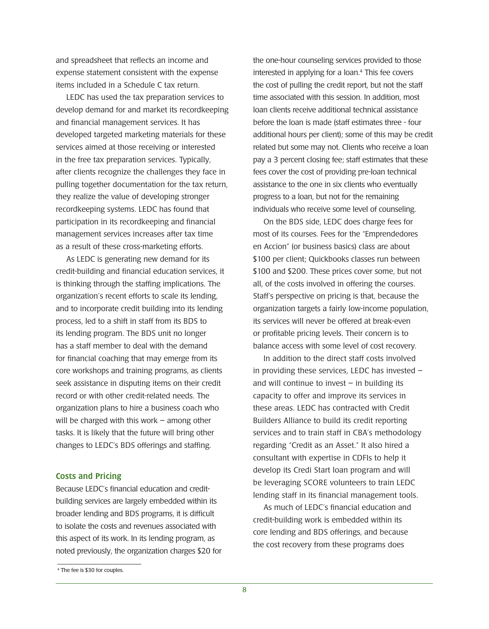and spreadsheet that reflects an income and expense statement consistent with the expense items included in a Schedule C tax return.

LEDC has used the tax preparation services to develop demand for and market its recordkeeping and financial management services. It has developed targeted marketing materials for these services aimed at those receiving or interested in the free tax preparation services. Typically, after clients recognize the challenges they face in pulling together documentation for the tax return, they realize the value of developing stronger recordkeeping systems. LEDC has found that participation in its recordkeeping and financial management services increases after tax time as a result of these cross-marketing efforts.

As LEDC is generating new demand for its credit-building and financial education services, it is thinking through the staffing implications. The organization's recent efforts to scale its lending, and to incorporate credit building into its lending process, led to a shift in staff from its BDS to its lending program. The BDS unit no longer has a staff member to deal with the demand for financial coaching that may emerge from its core workshops and training programs, as clients seek assistance in disputing items on their credit record or with other credit-related needs. The organization plans to hire a business coach who will be charged with this work – among other tasks. It is likely that the future will bring other changes to LEDC's BDS offerings and staffing.

#### Costs and Pricing

Because LEDC's financial education and creditbuilding services are largely embedded within its broader lending and BDS programs, it is difficult to isolate the costs and revenues associated with this aspect of its work. In its lending program, as noted previously, the organization charges \$20 for

On the BDS side, LEDC does charge fees for most of its courses. Fees for the "Emprendedores en Accion" (or business basics) class are about \$100 per client; Quickbooks classes run between \$100 and \$200. These prices cover some, but not all, of the costs involved in offering the courses. Staff's perspective on pricing is that, because the organization targets a fairly low-income population, its services will never be offered at break-even or profitable pricing levels. Their concern is to balance access with some level of cost recovery.

In addition to the direct staff costs involved in providing these services, LEDC has invested – and will continue to invest  $-$  in building its capacity to offer and improve its services in these areas. LEDC has contracted with Credit Builders Alliance to build its credit reporting services and to train staff in CBA's methodology regarding "Credit as an Asset." It also hired a consultant with expertise in CDFIs to help it develop its Credi Start loan program and will be leveraging SCORE volunteers to train LEDC lending staff in its financial management tools.

As much of LEDC's financial education and credit-building work is embedded within its core lending and BDS offerings, and because the cost recovery from these programs does

the one-hour counseling services provided to those interested in applying for a loan.<sup>4</sup> This fee covers the cost of pulling the credit report, but not the staff time associated with this session. In addition, most loan clients receive additional technical assistance before the loan is made (staff estimates three - four additional hours per client); some of this may be credit related but some may not. Clients who receive a loan pay a 3 percent closing fee; staff estimates that these fees cover the cost of providing pre-loan technical assistance to the one in six clients who eventually progress to a loan, but not for the remaining individuals who receive some level of counseling.

<sup>4</sup> The fee is \$30 for couples.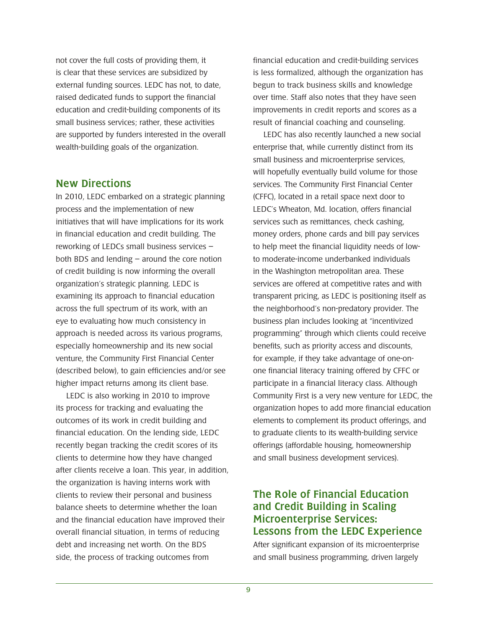not cover the full costs of providing them, it is clear that these services are subsidized by external funding sources. LEDC has not, to date, raised dedicated funds to support the financial education and credit-building components of its small business services; rather, these activities are supported by funders interested in the overall wealth-building goals of the organization.

# New Directions

In 2010, LEDC embarked on a strategic planning process and the implementation of new initiatives that will have implications for its work in financial education and credit building. The reworking of LEDCs small business services – both BDS and lending – around the core notion of credit building is now informing the overall organization's strategic planning. LEDC is examining its approach to financial education across the full spectrum of its work, with an eye to evaluating how much consistency in approach is needed across its various programs, especially homeownership and its new social venture, the Community First Financial Center (described below), to gain efficiencies and/or see higher impact returns among its client base.

LEDC is also working in 2010 to improve its process for tracking and evaluating the outcomes of its work in credit building and financial education. On the lending side, LEDC recently began tracking the credit scores of its clients to determine how they have changed after clients receive a loan. This year, in addition, the organization is having interns work with clients to review their personal and business balance sheets to determine whether the loan and the financial education have improved their overall financial situation, in terms of reducing debt and increasing net worth. On the BDS side, the process of tracking outcomes from

financial education and credit-building services is less formalized, although the organization has begun to track business skills and knowledge over time. Staff also notes that they have seen improvements in credit reports and scores as a result of financial coaching and counseling.

LEDC has also recently launched a new social enterprise that, while currently distinct from its small business and microenterprise services, will hopefully eventually build volume for those services. The Community First Financial Center (CFFC), located in a retail space next door to LEDC's Wheaton, Md. location, offers financial services such as remittances, check cashing, money orders, phone cards and bill pay services to help meet the financial liquidity needs of lowto moderate-income underbanked individuals in the Washington metropolitan area. These services are offered at competitive rates and with transparent pricing, as LEDC is positioning itself as the neighborhood's non-predatory provider. The business plan includes looking at "incentivized programming" through which clients could receive benefits, such as priority access and discounts, for example, if they take advantage of one-onone financial literacy training offered by CFFC or participate in a financial literacy class. Although Community First is a very new venture for LEDC, the organization hopes to add more financial education elements to complement its product offerings, and to graduate clients to its wealth-building service offerings (affordable housing, homeownership and small business development services).

# The Role of Financial Education and Credit Building in Scaling Microenterprise Services: Lessons from the LEDC Experience

After significant expansion of its microenterprise and small business programming, driven largely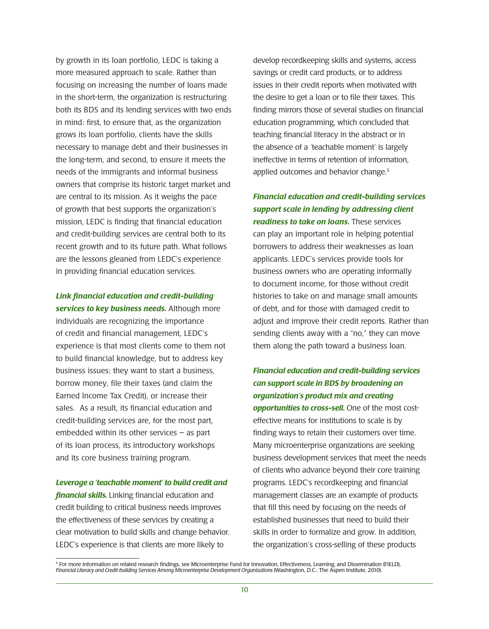by growth in its loan portfolio, LEDC is taking a more measured approach to scale. Rather than focusing on increasing the number of loans made in the short-term, the organization is restructuring both its BDS and its lending services with two ends in mind: first, to ensure that, as the organization grows its loan portfolio, clients have the skills necessary to manage debt and their businesses in the long-term, and second, to ensure it meets the needs of the immigrants and informal business owners that comprise its historic target market and are central to its mission. As it weighs the pace of growth that best supports the organization's mission, LEDC is finding that financial education and credit-building services are central both to its recent growth and to its future path. What follows are the lessons gleaned from LEDC's experience in providing financial education services.

### *Link financial education and credit-building services to key business needs.* Although more

individuals are recognizing the importance of credit and financial management, LEDC's experience is that most clients come to them not to build financial knowledge, but to address key business issues: they want to start a business, borrow money, file their taxes (and claim the Earned Income Tax Credit), or increase their sales. As a result, its financial education and credit-building services are, for the most part, embedded within its other services – as part of its loan process, its introductory workshops and its core business training program.

#### *Leverage a 'teachable moment' to build credit and*

*financial skills.* Linking financial education and credit building to critical business needs improves the effectiveness of these services by creating a clear motivation to build skills and change behavior. LEDC's experience is that clients are more likely to

develop recordkeeping skills and systems, access savings or credit card products, or to address issues in their credit reports when motivated with the desire to get a loan or to file their taxes. This finding mirrors those of several studies on financial education programming, which concluded that teaching financial literacy in the abstract or in the absence of a 'teachable moment' is largely ineffective in terms of retention of information, applied outcomes and behavior change.<sup>5</sup>

*Financial education and credit-building services support scale in lending by addressing client readiness to take on loans.* These services can play an important role in helping potential borrowers to address their weaknesses as loan applicants. LEDC's services provide tools for business owners who are operating informally to document income, for those without credit histories to take on and manage small amounts of debt, and for those with damaged credit to adjust and improve their credit reports. Rather than sending clients away with a "no," they can move them along the path toward a business loan.

# *Financial education and credit-building services can support scale in BDS by broadening an organization's product mix and creating opportunities to cross-sell.* One of the most costeffective means for institutions to scale is by finding ways to retain their customers over time. Many microenterprise organizations are seeking business development services that meet the needs of clients who advance beyond their core training programs. LEDC's recordkeeping and financial management classes are an example of products that fill this need by focusing on the needs of established businesses that need to build their skills in order to formalize and grow. In addition, the organization's cross-selling of these products

<sup>5</sup> For more information on related research findings, see Microenterprise Fund for Innovation, Effectiveness, Learning, and Dissemination (FIELD), *Financial Literacy and Credit-building Services Among Microenterprise Development Organizations* (Washington, D.C.: The Aspen Institute, 2010).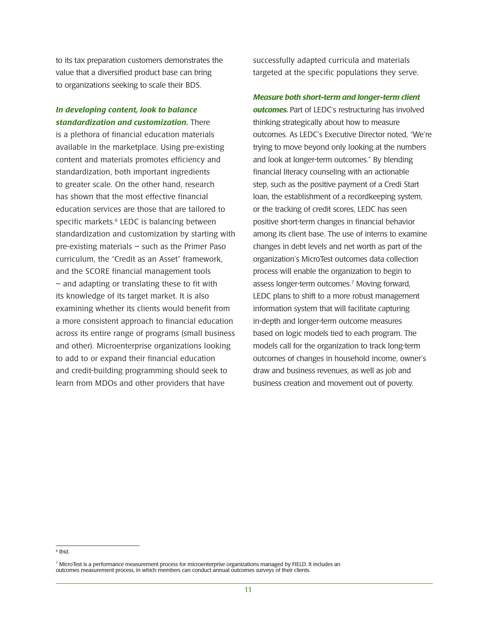to its tax preparation customers demonstrates the value that a diversified product base can bring to organizations seeking to scale their BDS.

#### *In developing content, look to balance standardization and customization.* There

is a plethora of financial education materials available in the marketplace. Using pre-existing content and materials promotes efficiency and standardization, both important ingredients to greater scale. On the other hand, research has shown that the most effective financial education services are those that are tailored to specific markets.<sup>6</sup> LEDC is balancing between standardization and customization by starting with pre-existing materials – such as the Primer Paso curriculum, the "Credit as an Asset" framework, and the SCORE financial management tools – and adapting or translating these to fit with its knowledge of its target market. It is also examining whether its clients would benefit from a more consistent approach to financial education across its entire range of programs (small business and other). Microenterprise organizations looking to add to or expand their financial education and credit-building programming should seek to learn from MDOs and other providers that have

successfully adapted curricula and materials targeted at the specific populations they serve.

#### *Measure both short-term and longer-term client*

**outcomes.** Part of LEDC's restructuring has involved thinking strategically about how to measure outcomes. As LEDC's Executive Director noted, "We're trying to move beyond only looking at the numbers and look at longer-term outcomes." By blending financial literacy counseling with an actionable step, such as the positive payment of a Credi Start loan, the establishment of a recordkeeping system, or the tracking of credit scores, LEDC has seen positive short-term changes in financial behavior among its client base. The use of interns to examine changes in debt levels and net worth as part of the organization's MicroTest outcomes data collection process will enable the organization to begin to assess longer-term outcomes.<sup>7</sup> Moving forward, LEDC plans to shift to a more robust management information system that will facilitate capturing in-depth and longer-term outcome measures based on logic models tied to each program. The models call for the organization to track long-term outcomes of changes in household income, owner's draw and business revenues, as well as job and business creation and movement out of poverty.

<sup>6</sup> Ibid.

<sup>7</sup> MicroTest is a performance measurement process for microenterprise organizations managed by FIELD. It includes an outcomes measurement process, in which members can conduct annual outcomes surveys of their clients.